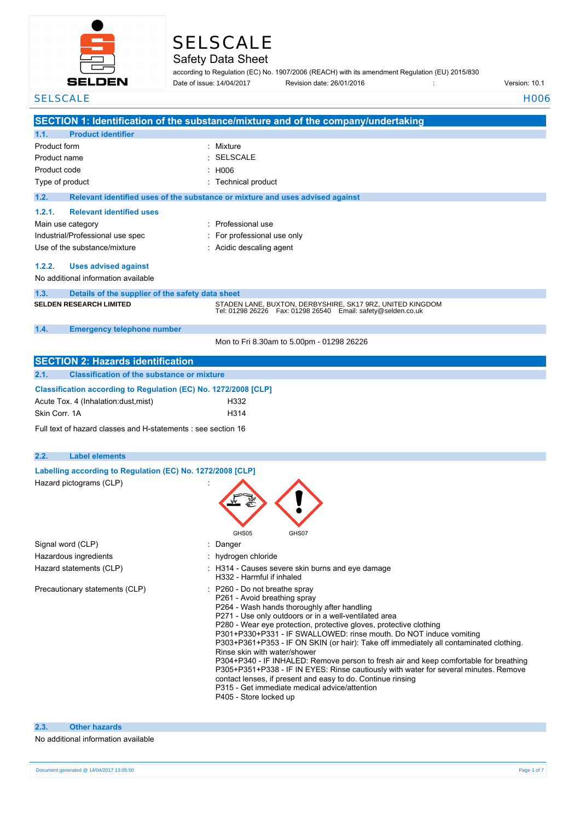

# SELSCALE

## Safety Data Sheet

according to Regulation (EC) No. 1907/2006 (REACH) with its amendment Regulation (EU) 2015/830 **Date: 26/01/2016** : Revision date: 26/01/2016

Date of issue: 14/04/2017

| <b>SELSCALE</b>                                                 | H <sub>006</sub>                                                                                                                                    |
|-----------------------------------------------------------------|-----------------------------------------------------------------------------------------------------------------------------------------------------|
|                                                                 | SECTION 1: Identification of the substance/mixture and of the company/undertaking                                                                   |
| <b>Product identifier</b><br>1.1.                               |                                                                                                                                                     |
| Product form                                                    | : Mixture                                                                                                                                           |
| Product name                                                    | <b>SELSCALE</b>                                                                                                                                     |
| Product code                                                    | H006                                                                                                                                                |
| Type of product                                                 | Technical product                                                                                                                                   |
|                                                                 |                                                                                                                                                     |
| 1.2.                                                            | Relevant identified uses of the substance or mixture and uses advised against                                                                       |
| 1.2.1.<br><b>Relevant identified uses</b>                       |                                                                                                                                                     |
| Main use category                                               | : Professional use                                                                                                                                  |
| Industrial/Professional use spec                                | For professional use only                                                                                                                           |
| Use of the substance/mixture                                    | : Acidic descaling agent                                                                                                                            |
| 1.2.2.<br><b>Uses advised against</b>                           |                                                                                                                                                     |
| No additional information available                             |                                                                                                                                                     |
| 1.3.<br>Details of the supplier of the safety data sheet        |                                                                                                                                                     |
| <b>SELDEN RESEARCH LIMITED</b>                                  | STADEN LANE, BUXTON, DERBYSHIRE, SK17 9RZ, UNITED KINGDOM<br>Tel: 01298 26226    Fax: 01298 26540    Email: safety@selden.co.uk                     |
| 1.4.<br><b>Emergency telephone number</b>                       |                                                                                                                                                     |
|                                                                 | Mon to Fri 8.30am to 5.00pm - 01298 26226                                                                                                           |
| <b>SECTION 2: Hazards identification</b>                        |                                                                                                                                                     |
| <b>Classification of the substance or mixture</b>               |                                                                                                                                                     |
| 2.1.                                                            |                                                                                                                                                     |
| Classification according to Regulation (EC) No. 1272/2008 [CLP] |                                                                                                                                                     |
| Acute Tox. 4 (Inhalation:dust, mist)                            | H332                                                                                                                                                |
| Skin Corr. 1A                                                   | H314                                                                                                                                                |
| Full text of hazard classes and H-statements : see section 16   |                                                                                                                                                     |
|                                                                 |                                                                                                                                                     |
| 2.2.<br><b>Label elements</b>                                   |                                                                                                                                                     |
| Labelling according to Regulation (EC) No. 1272/2008 [CLP]      |                                                                                                                                                     |
| Hazard pictograms (CLP)                                         |                                                                                                                                                     |
|                                                                 |                                                                                                                                                     |
|                                                                 |                                                                                                                                                     |
|                                                                 |                                                                                                                                                     |
|                                                                 |                                                                                                                                                     |
|                                                                 | GHS05<br>GHS07                                                                                                                                      |
| Signal word (CLP)                                               | Danger                                                                                                                                              |
| Hazardous ingredients                                           | : hydrogen chloride                                                                                                                                 |
| Hazard statements (CLP)                                         | : H314 - Causes severe skin burns and eye damage<br>H332 - Harmful if inhaled                                                                       |
| Precautionary statements (CLP)                                  | P260 - Do not breathe spray                                                                                                                         |
|                                                                 | P261 - Avoid breathing spray                                                                                                                        |
|                                                                 | P264 - Wash hands thoroughly after handling                                                                                                         |
|                                                                 | P271 - Use only outdoors or in a well-ventilated area                                                                                               |
|                                                                 | P280 - Wear eye protection, protective gloves, protective clothing<br>P301+P330+P331 - IF SWALLOWED: rinse mouth. Do NOT induce vomiting            |
|                                                                 | P303+P361+P353 - IF ON SKIN (or hair): Take off immediately all contaminated clothing.                                                              |
|                                                                 | Rinse skin with water/shower                                                                                                                        |
|                                                                 | P304+P340 - IF INHALED: Remove person to fresh air and keep comfortable for breathing                                                               |
|                                                                 | P305+P351+P338 - IF IN EYES: Rinse cautiously with water for several minutes. Remove<br>contact lenses, if present and easy to do. Continue rinsing |
|                                                                 | P315 - Get immediate medical advice/attention                                                                                                       |
|                                                                 | P405 - Store locked up                                                                                                                              |
|                                                                 |                                                                                                                                                     |
|                                                                 |                                                                                                                                                     |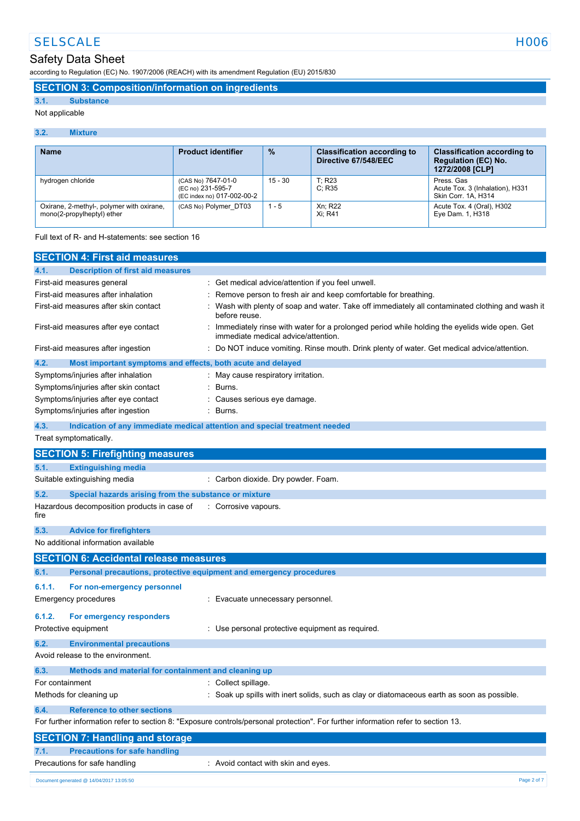# SELSCALE HOO6

### Safety Data Sheet

according to Regulation (EC) No. 1907/2006 (REACH) with its amendment Regulation (EU) 2015/830

### **SECTION 3: Composition/information on ingredients**

#### **3.1. Substance**

Not applicable

#### **3.2. Mixture**

| <b>Name</b>                                                             | <b>Product identifier</b>                                             | $\frac{9}{6}$ | <b>Classification according to</b><br>Directive 67/548/EEC | <b>Classification according to</b><br><b>Regulation (EC) No.</b><br>1272/2008 [CLP] |
|-------------------------------------------------------------------------|-----------------------------------------------------------------------|---------------|------------------------------------------------------------|-------------------------------------------------------------------------------------|
| hydrogen chloride                                                       | (CAS No) 7647-01-0<br>(EC no) 231-595-7<br>(EC index no) 017-002-00-2 | 15 - 30       | T: R23<br>C: R35                                           | Press, Gas<br>Acute Tox. 3 (Inhalation), H331<br>Skin Corr. 1A, H314                |
| Oxirane, 2-methyl-, polymer with oxirane,<br>mono(2-propylheptyl) ether | (CAS No) Polymer DT03                                                 | $1 - 5$       | Xn: R22<br>Xi: R41                                         | Acute Tox. 4 (Oral), H302<br>Eye Dam. 1, H318                                       |

Full text of R- and H-statements: see section 16

| <b>SECTION 4: First aid measures</b>                                          |                                                                                                                                     |
|-------------------------------------------------------------------------------|-------------------------------------------------------------------------------------------------------------------------------------|
| 4.1.<br><b>Description of first aid measures</b>                              |                                                                                                                                     |
| First-aid measures general                                                    | Get medical advice/attention if you feel unwell.                                                                                    |
| First-aid measures after inhalation                                           | Remove person to fresh air and keep comfortable for breathing.                                                                      |
| First-aid measures after skin contact                                         | Wash with plenty of soap and water. Take off immediately all contaminated clothing and wash it<br>before reuse.                     |
| First-aid measures after eye contact                                          | Immediately rinse with water for a prolonged period while holding the eyelids wide open. Get<br>immediate medical advice/attention. |
| First-aid measures after ingestion                                            | Do NOT induce vomiting. Rinse mouth. Drink plenty of water. Get medical advice/attention.                                           |
| 4.2.<br>Most important symptoms and effects, both acute and delayed           |                                                                                                                                     |
| Symptoms/injuries after inhalation                                            | May cause respiratory irritation.                                                                                                   |
| Symptoms/injuries after skin contact                                          | Burns.                                                                                                                              |
| Symptoms/injuries after eye contact                                           | Causes serious eye damage.                                                                                                          |
| Symptoms/injuries after ingestion                                             | Burns.                                                                                                                              |
| 4.3.                                                                          | Indication of any immediate medical attention and special treatment needed                                                          |
| Treat symptomatically.                                                        |                                                                                                                                     |
| <b>SECTION 5: Firefighting measures</b>                                       |                                                                                                                                     |
| 5.1.<br><b>Extinguishing media</b>                                            |                                                                                                                                     |
| Suitable extinguishing media                                                  | : Carbon dioxide. Dry powder. Foam.                                                                                                 |
| 5.2.<br>Special hazards arising from the substance or mixture                 |                                                                                                                                     |
| Hazardous decomposition products in case of<br>fire                           | : Corrosive vapours.                                                                                                                |
| 5.3.<br><b>Advice for firefighters</b>                                        |                                                                                                                                     |
| No additional information available                                           |                                                                                                                                     |
| <b>SECTION 6: Accidental release measures</b>                                 |                                                                                                                                     |
| 6.1.<br>Personal precautions, protective equipment and emergency procedures   |                                                                                                                                     |
| 6.1.1.<br>For non-emergency personnel                                         |                                                                                                                                     |
| Emergency procedures                                                          | : Evacuate unnecessary personnel.                                                                                                   |
| 6.1.2.<br>For emergency responders                                            |                                                                                                                                     |
| Protective equipment                                                          | : Use personal protective equipment as required.                                                                                    |
|                                                                               |                                                                                                                                     |
| 6.2.<br><b>Environmental precautions</b><br>Avoid release to the environment. |                                                                                                                                     |
| 6.3.<br>Methods and material for containment and cleaning up                  |                                                                                                                                     |
| For containment                                                               | : Collect spillage.                                                                                                                 |
| Methods for cleaning up                                                       | Soak up spills with inert solids, such as clay or diatomaceous earth as soon as possible.                                           |
| 6.4.<br><b>Reference to other sections</b>                                    |                                                                                                                                     |
|                                                                               | For further information refer to section 8: "Exposure controls/personal protection". For further information refer to section 13.   |
| <b>SECTION 7: Handling and storage</b>                                        |                                                                                                                                     |
| <b>Precautions for safe handling</b><br>7.1.                                  |                                                                                                                                     |
| Precautions for safe handling                                                 | : Avoid contact with skin and eyes.                                                                                                 |
| Document generated @ 14/04/2017 13:05:50                                      | Page 2 of 7                                                                                                                         |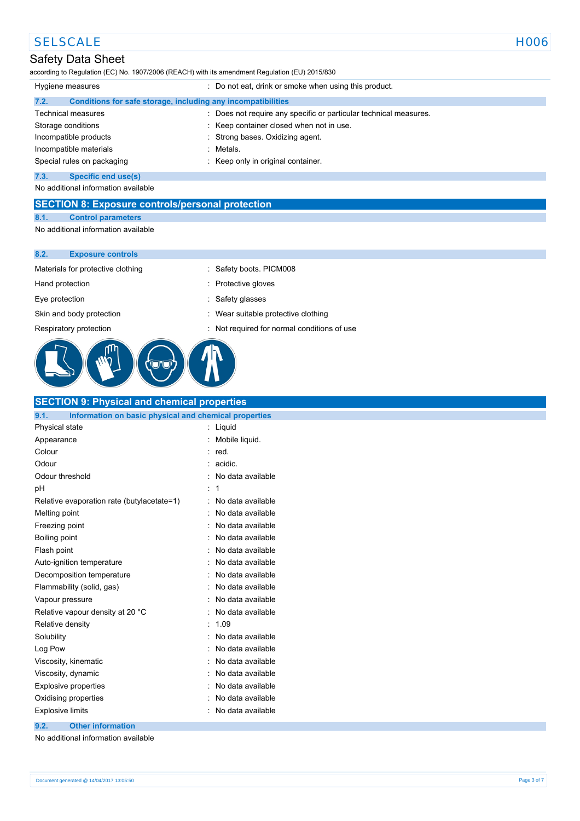### SELSCALE NOOS NOTES AND THE SELSCALE THAT IS A RELATED AND THE SELSCALE THAT IS A RELATED AND THE SELSCALE THAT IS A RELATED AND THE SELSCALE THAT IS A RELATED AND THE SELSCALE THAT IS A RELATED AND THE SELSCALE THAT IS A

### Safety Data Sheet

according to Regulation (EC) No. 1907/2006 (REACH) with its amendment Regulation (EU) 2015/830

| Hygiene measures            | : Do not eat, drink or smoke when using this product.           |  |
|-----------------------------|-----------------------------------------------------------------|--|
| 7.2.                        | Conditions for safe storage, including any incompatibilities    |  |
| <b>Technical measures</b>   | Does not require any specific or particular technical measures. |  |
| Storage conditions          | Keep container closed when not in use.                          |  |
| Incompatible products       | Strong bases. Oxidizing agent.                                  |  |
| Incompatible materials      | Metals.                                                         |  |
| Special rules on packaging  | Keep only in original container.                                |  |
| 7.3.<br>Specific end use(s) |                                                                 |  |

No additional information available

**SECTION 8: Exposure controls/personal protection**

#### **8.1. Control parameters**

No additional information available

#### **8.2. Exposure controls**

Materials for protective clothing : Safety boots. PICM008

Hand protection in the state of the state of the Protective gloves

Eye protection **in the same of the set of the set of the set of the set of the set of the set of the set of the set of the set of the set of the set of the set of the set of the set of the set of the set of the set of the** 

Skin and body protection **in the suitable protective clothing** : Wear suitable protective clothing

Respiratory protection : Not required for normal conditions of use



# **SECTION 9: Physical and chemical properties**

|   | Information on basic physical and chemical properties |
|---|-------------------------------------------------------|
| t | Liquid                                                |
|   | Mobile liquid.                                        |
|   | red.                                                  |
|   | acidic.                                               |
|   | No data available                                     |
|   | 1                                                     |
|   | No data available                                     |
|   | No data available                                     |
|   | No data available                                     |
|   | No data available                                     |
|   | No data available                                     |
|   | No data available                                     |
|   | No data available                                     |
|   | No data available                                     |
|   | No data available                                     |
|   | No data available                                     |
|   | 1.09                                                  |
|   | No data available                                     |
|   | No data available                                     |
|   | No data available                                     |
|   | No data available                                     |
|   | No data available                                     |
|   | No data available                                     |
|   | No data available                                     |
|   |                                                       |

**9.2. Other information**

No additional information available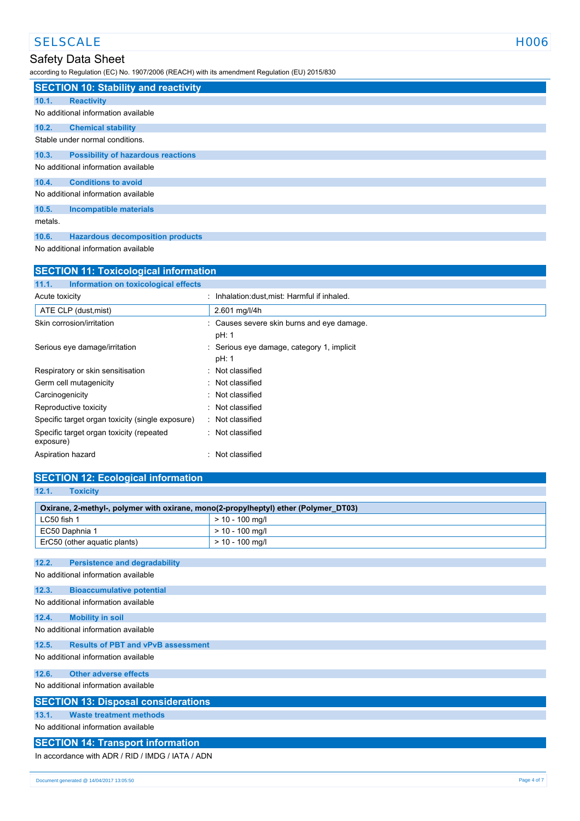# SELSCALE HOO6

### Safety Data Sheet

according to Regulation (EC) No. 1907/2006 (REACH) with its amendment Regulation (EU) 2015/830

|                                     | <b>SECTION 10: Stability and reactivity</b> |  |  |
|-------------------------------------|---------------------------------------------|--|--|
| 10.1.                               | <b>Reactivity</b>                           |  |  |
| No additional information available |                                             |  |  |
| 10.2.                               | <b>Chemical stability</b>                   |  |  |
|                                     | Stable under normal conditions.             |  |  |
| 10.3.                               | <b>Possibility of hazardous reactions</b>   |  |  |
|                                     | No additional information available         |  |  |
| 10.4.                               | <b>Conditions to avoid</b>                  |  |  |
|                                     | No additional information available         |  |  |
| 10.5.                               | <b>Incompatible materials</b>               |  |  |
| metals.                             |                                             |  |  |
| 10.6.                               | <b>Hazardous decomposition products</b>     |  |  |

No additional information available

| <b>SECTION 11: Toxicological information</b>          |                                                     |  |
|-------------------------------------------------------|-----------------------------------------------------|--|
| 11.1.<br>Information on toxicological effects         |                                                     |  |
| Acute toxicity                                        | Inhalation: dust, mist: Harmful if inhaled.         |  |
| ATE CLP (dust, mist)                                  | 2.601 mg/l/4h                                       |  |
| Skin corrosion/irritation                             | : Causes severe skin burns and eye damage.<br>pH: 1 |  |
| Serious eye damage/irritation                         | Serious eye damage, category 1, implicit<br>pH: 1   |  |
| Respiratory or skin sensitisation                     | : Not classified                                    |  |
| Germ cell mutagenicity                                | : Not classified                                    |  |
| Carcinogenicity                                       | Not classified                                      |  |
| Reproductive toxicity                                 | Not classified                                      |  |
| Specific target organ toxicity (single exposure)      | : Not classified                                    |  |
| Specific target organ toxicity (repeated<br>exposure) | : Not classified                                    |  |
| Aspiration hazard                                     | Not classified                                      |  |

#### **SECTION 12: Ecological information**

| 12.1.<br><b>Toxicity</b>                                                            |                                           |  |  |
|-------------------------------------------------------------------------------------|-------------------------------------------|--|--|
| Oxirane, 2-methyl-, polymer with oxirane, mono(2-propylheptyl) ether (Polymer_DT03) |                                           |  |  |
| LC50 fish 1                                                                         | $> 10 - 100$ mg/l                         |  |  |
| EC50 Daphnia 1                                                                      | $> 10 - 100$ mg/l                         |  |  |
| ErC50 (other aquatic plants)                                                        | $> 10 - 100$ mg/l                         |  |  |
|                                                                                     |                                           |  |  |
| 12.2.<br><b>Persistence and degradability</b>                                       |                                           |  |  |
| No additional information available                                                 |                                           |  |  |
| 12.3.<br><b>Bioaccumulative potential</b>                                           |                                           |  |  |
| No additional information available                                                 |                                           |  |  |
| 12.4.<br><b>Mobility in soil</b>                                                    |                                           |  |  |
| No additional information available                                                 |                                           |  |  |
| 12.5.                                                                               | <b>Results of PBT and vPvB assessment</b> |  |  |
| No additional information available                                                 |                                           |  |  |
| 12.6.<br><b>Other adverse effects</b>                                               |                                           |  |  |
| No additional information available                                                 |                                           |  |  |
| <b>SECTION 13: Disposal considerations</b>                                          |                                           |  |  |
| <b>Waste treatment methods</b><br>13.1.                                             |                                           |  |  |
| No additional information available                                                 |                                           |  |  |
| <b>SECTION 14: Transport information</b>                                            |                                           |  |  |
| In accordance with ADR / RID / IMDG / IATA / ADN                                    |                                           |  |  |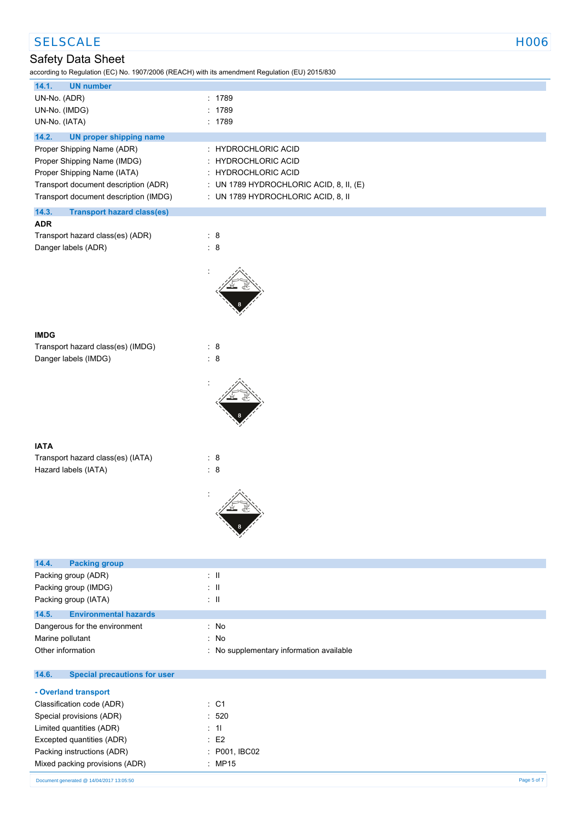| <b>SELSCALE</b>                                                                                                     | <b>HOO6</b>                              |
|---------------------------------------------------------------------------------------------------------------------|------------------------------------------|
| Safety Data Sheet<br>according to Regulation (EC) No. 1907/2006 (REACH) with its amendment Regulation (EU) 2015/830 |                                          |
| <b>UN number</b><br>14.1.                                                                                           |                                          |
| UN-No. (ADR)                                                                                                        | : 1789                                   |
| UN-No. (IMDG)                                                                                                       | : 1789                                   |
| UN-No. (IATA)                                                                                                       | : 1789                                   |
| 14.2.<br><b>UN proper shipping name</b>                                                                             |                                          |
| Proper Shipping Name (ADR)                                                                                          | : HYDROCHLORIC ACID                      |
| Proper Shipping Name (IMDG)                                                                                         | : HYDROCHLORIC ACID                      |
| Proper Shipping Name (IATA)                                                                                         | : HYDROCHLORIC ACID                      |
| Transport document description (ADR)                                                                                | : UN 1789 HYDROCHLORIC ACID, 8, II, (E)  |
| Transport document description (IMDG)                                                                               | : UN 1789 HYDROCHLORIC ACID, 8, II       |
| 14.3.<br><b>Transport hazard class(es)</b><br><b>ADR</b>                                                            |                                          |
| Transport hazard class(es) (ADR)                                                                                    | : 8                                      |
| Danger labels (ADR)                                                                                                 | $\therefore$ 8                           |
|                                                                                                                     |                                          |
|                                                                                                                     |                                          |
|                                                                                                                     |                                          |
|                                                                                                                     |                                          |
|                                                                                                                     |                                          |
|                                                                                                                     |                                          |
| <b>IMDG</b>                                                                                                         |                                          |
| Transport hazard class(es) (IMDG)                                                                                   | : 8                                      |
| Danger labels (IMDG)                                                                                                | $\therefore$ 8                           |
|                                                                                                                     |                                          |
|                                                                                                                     |                                          |
|                                                                                                                     |                                          |
|                                                                                                                     |                                          |
|                                                                                                                     |                                          |
|                                                                                                                     |                                          |
| <b>IATA</b>                                                                                                         |                                          |
| Transport hazard class(es) (IATA)                                                                                   | : 8                                      |
| Hazard labels (IATA)                                                                                                | : 8                                      |
|                                                                                                                     |                                          |
|                                                                                                                     |                                          |
|                                                                                                                     |                                          |
|                                                                                                                     |                                          |
|                                                                                                                     |                                          |
|                                                                                                                     |                                          |
| 14.4.<br><b>Packing group</b>                                                                                       |                                          |
| Packing group (ADR)                                                                                                 | $\pm$ 11                                 |
| Packing group (IMDG)                                                                                                | $\pm$ 11                                 |
| Packing group (IATA)                                                                                                | $\pm$ 11                                 |
| <b>Environmental hazards</b><br>14.5.                                                                               |                                          |
| Dangerous for the environment                                                                                       | : No                                     |
| Marine pollutant                                                                                                    | : No                                     |
| Other information                                                                                                   | : No supplementary information available |
| <b>Special precautions for user</b><br>14.6.                                                                        |                                          |
| - Overland transport                                                                                                |                                          |

| Classification code (ADR)      | $\therefore$ C1    |
|--------------------------------|--------------------|
| Special provisions (ADR)       | :520               |
| Limited quantities (ADR)       | $\pm$ 11           |
| Excepted quantities (ADR)      | $·$ F <sub>2</sub> |
| Packing instructions (ADR)     | : P001, IBC02      |
| Mixed packing provisions (ADR) | : MP15             |
|                                |                    |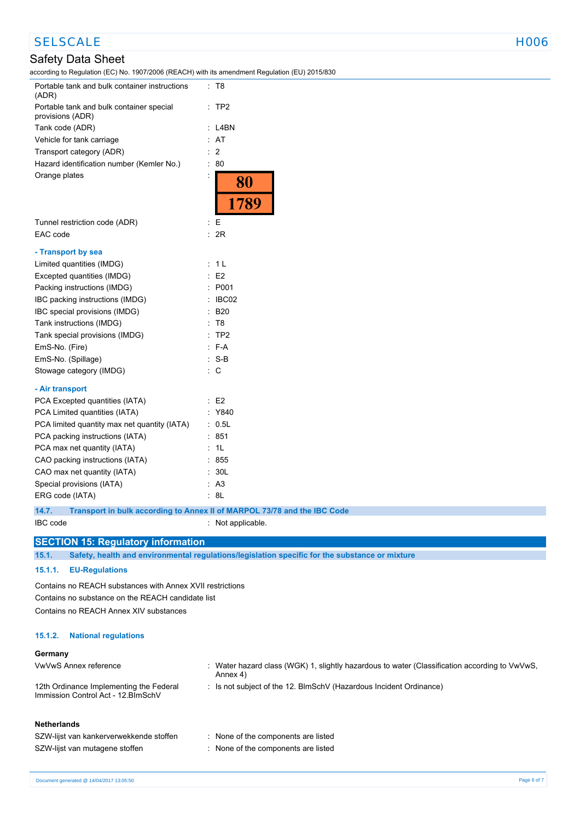# SELSCALE NOOS NOTES AND THE SELSCALE THAT IS A RELATED AND THE SELSCALE THAT IS A RELATED AND THE SELSCALE THAT IS A RELATED AND THE SELSCALE THAT IS A RELATED AND THE SELSCALE THAT IS A RELATED AND THE SELSCALE THAT IS A

## Safety Data Sheet

according to Regulation (EC) No. 1907/2006 (REACH) with its amendment Regulation (EU) 2015/830

| Portable tank and bulk container instructions<br>(ADR)       | : T8                                                                     |
|--------------------------------------------------------------|--------------------------------------------------------------------------|
| Portable tank and bulk container special<br>provisions (ADR) | $:$ TP2                                                                  |
| Tank code (ADR)                                              | : L4BN                                                                   |
| Vehicle for tank carriage                                    | : AT                                                                     |
| Transport category (ADR)                                     | $\therefore$ 2                                                           |
| Hazard identification number (Kemler No.)                    | : 80                                                                     |
| Orange plates                                                | 80<br>1789                                                               |
| Tunnel restriction code (ADR)                                | : E                                                                      |
| EAC code                                                     | : 2R                                                                     |
| - Transport by sea                                           |                                                                          |
| Limited quantities (IMDG)                                    | : 1 L                                                                    |
| Excepted quantities (IMDG)                                   | E2                                                                       |
| Packing instructions (IMDG)                                  | P001                                                                     |
| IBC packing instructions (IMDG)                              | IBC02                                                                    |
| IBC special provisions (IMDG)                                | B20                                                                      |
| Tank instructions (IMDG)                                     | : T8                                                                     |
| Tank special provisions (IMDG)                               | $:$ TP2                                                                  |
| EmS-No. (Fire)                                               | $F-A$                                                                    |
| EmS-No. (Spillage)                                           | $:$ S-B                                                                  |
| Stowage category (IMDG)                                      | $\therefore$ C                                                           |
| - Air transport                                              |                                                                          |
| PCA Excepted quantities (IATA)                               | $\therefore$ E2                                                          |
| PCA Limited quantities (IATA)                                | : Y840                                                                   |
| PCA limited quantity max net quantity (IATA)                 | : 0.5L                                                                   |
| PCA packing instructions (IATA)                              | : 851                                                                    |
| PCA max net quantity (IATA)                                  | - 1L                                                                     |
| CAO packing instructions (IATA)                              | : 855                                                                    |
| CAO max net quantity (IATA)                                  | : 30L                                                                    |
| Special provisions (IATA)                                    | : A3                                                                     |
| ERG code (IATA)                                              | : 8L                                                                     |
| 14.7.                                                        | Transport in bulk according to Annex II of MARPOL 73/78 and the IBC Code |

IBC code : Not applicable.

#### **SECTION 15: Regulatory information**

**15.1. Safety, health and environmental regulations/legislation specific for the substance or mixture**

#### **15.1.1. EU-Regulations**

Contains no REACH substances with Annex XVII restrictions Contains no substance on the REACH candidate list Contains no REACH Annex XIV substances

#### **15.1.2. National regulations**

#### **Germany**

| VwVwS Annex reference                                                          | : Water hazard class (WGK) 1, slightly hazardous to water (Classification according to VwVwS,<br>Annex 4) |
|--------------------------------------------------------------------------------|-----------------------------------------------------------------------------------------------------------|
| 12th Ordinance Implementing the Federal<br>Immission Control Act - 12. BlmSchV | : Is not subject of the 12. BlmSchV (Hazardous Incident Ordinance)                                        |
| <b>Netherlands</b>                                                             |                                                                                                           |
| SZW-lijst van kankerverwekkende stoffen                                        | : None of the components are listed                                                                       |
| SZW-lijst van mutagene stoffen                                                 | : None of the components are listed                                                                       |